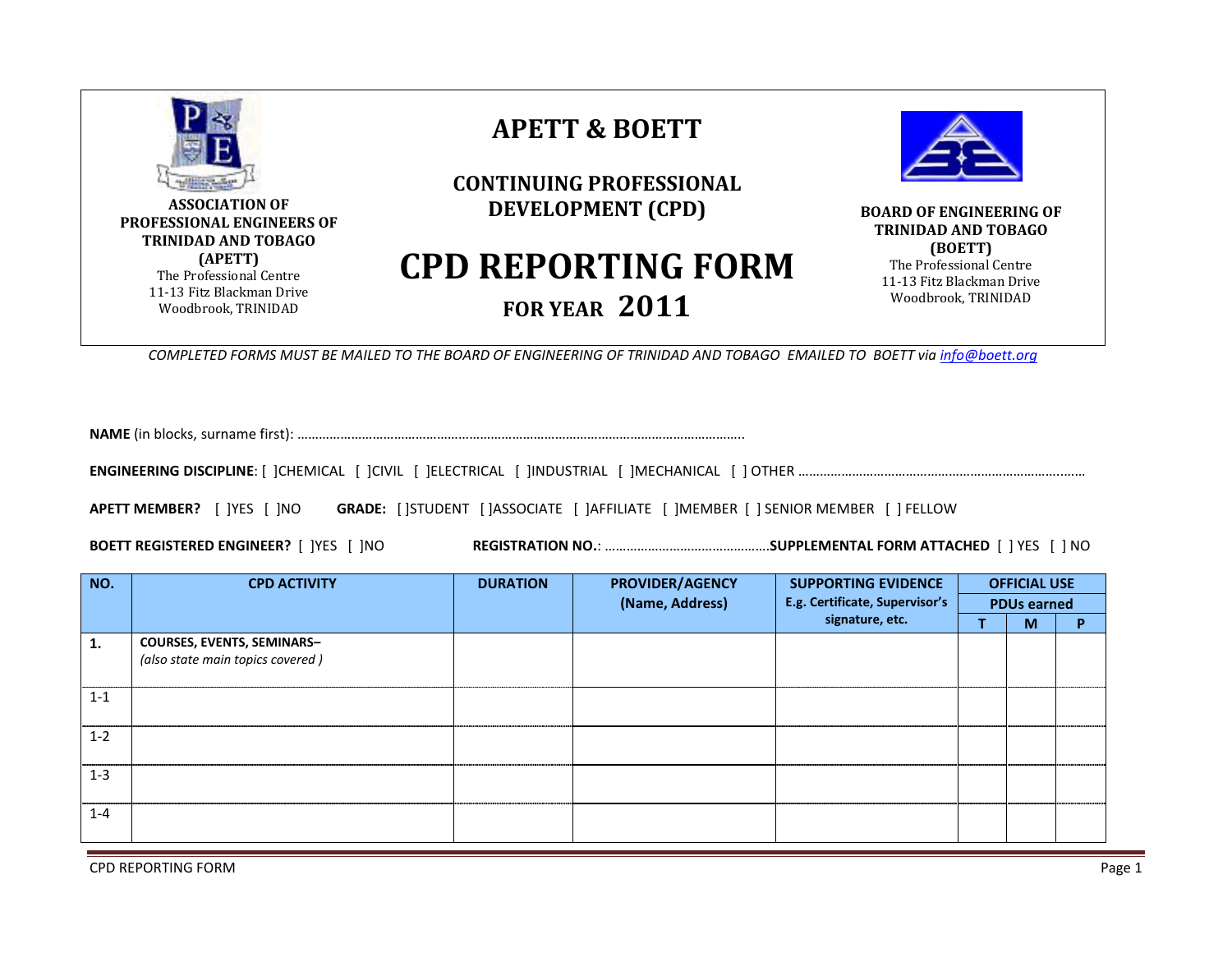

*COMPLETED FORMS MUST BE MAILED TO THE BOARD OF ENGINEERING OF TRINIDAD AND TOBAGO EMAILED TO BOETT via [info@boett.org](mailto:info@boett.org)*

**NAME** (in blocks, surname first): ……………………………………………………………………………………………………………..

**ENGINEERING DISCIPLINE**: [ ]CHEMICAL [ ]CIVIL [ ]ELECTRICAL [ ]INDUSTRIAL [ ]MECHANICAL [ ] OTHER ……………………………………………………………………………

**APETT MEMBER?** [ ]YES [ ]NO **GRADE:** [ ]STUDENT [ ]ASSOCIATE [ ]AFFILIATE [ ]MEMBER [ ] SENIOR MEMBER [ ] FELLOW

**BOETT REGISTERED ENGINEER?** [ ]YES [ ]NO **REGISTRATION NO.**: ……………………………………….**SUPPLEMENTAL FORM ATTACHED** [ ] YES [ ] NO

| NO.     | <b>CPD ACTIVITY</b>               | <b>DURATION</b> | <b>PROVIDER/AGENCY</b> | <b>SUPPORTING EVIDENCE</b>     | <b>OFFICIAL USE</b> |   |   |
|---------|-----------------------------------|-----------------|------------------------|--------------------------------|---------------------|---|---|
|         |                                   |                 | (Name, Address)        | E.g. Certificate, Supervisor's | <b>PDUs earned</b>  |   |   |
|         |                                   |                 |                        | signature, etc.                |                     | M | D |
| 1.      | <b>COURSES, EVENTS, SEMINARS-</b> |                 |                        |                                |                     |   |   |
|         | (also state main topics covered)  |                 |                        |                                |                     |   |   |
|         |                                   |                 |                        |                                |                     |   |   |
| $1 - 1$ |                                   |                 |                        |                                |                     |   |   |
|         |                                   |                 |                        |                                |                     |   |   |
| $1 - 2$ |                                   |                 |                        |                                |                     |   |   |
|         |                                   |                 |                        |                                |                     |   |   |
| $1 - 3$ |                                   |                 |                        |                                |                     |   |   |
|         |                                   |                 |                        |                                |                     |   |   |
| $1 - 4$ |                                   |                 |                        |                                |                     |   |   |
|         |                                   |                 |                        |                                |                     |   |   |
|         |                                   |                 |                        |                                |                     |   |   |